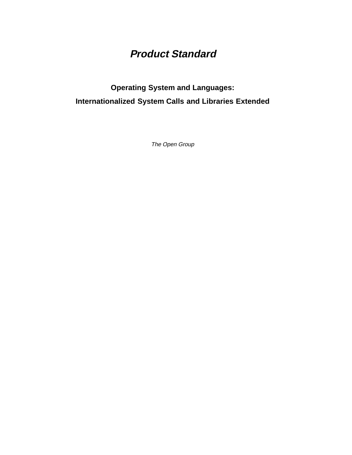# **Product Standard**

# **Operating System and Languages: Internationalized System Calls and Libraries Extended**

The Open Group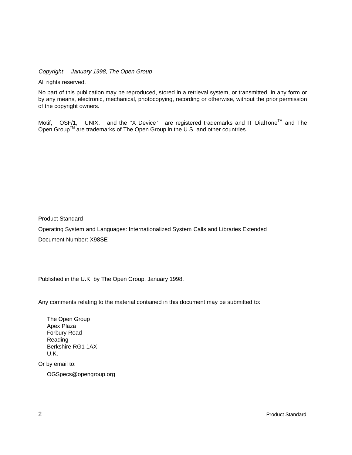Copyright  $\odot$  January 1998, The Open Group

All rights reserved.

No part of this publication may be reproduced, stored in a retrieval system, or transmitted, in any form or by any means, electronic, mechanical, photocopying, recording or otherwise, without the prior permission of the copyright owners.

Motif,  $^{\circledR}$  OSF/1,  $^{\circledR}$  UNIX,  $^{\circledR}$  and the "X Device" $^{\circledR}$  are registered trademarks and IT DialTone<sup>TM</sup> and The Open Group<sup>TM</sup> are trademarks of The Open Group in the U.S. and other countries.

Product Standard

Operating System and Languages: Internationalized System Calls and Libraries Extended Document Number: X98SE

Published in the U.K. by The Open Group, January 1998.

Any comments relating to the material contained in this document may be submitted to:

The Open Group Apex Plaza Forbury Road Reading Berkshire RG1 1AX U.K.

Or by email to:

OGSpecs@opengroup.org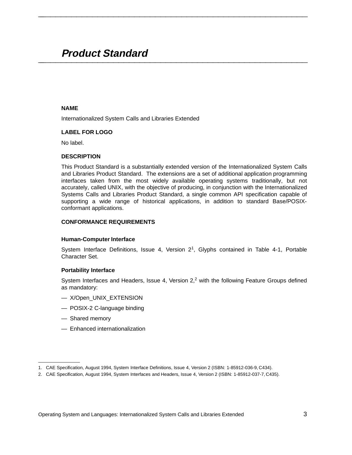# **Product Standard \_\_\_\_\_\_\_\_\_\_\_\_\_\_\_\_\_\_\_\_\_\_\_\_\_\_\_\_\_\_\_\_\_\_\_\_\_\_\_\_\_\_\_\_\_\_\_\_\_\_\_\_**

#### **NAME**

Internationalized System Calls and Libraries Extended

#### **LABEL FOR LOGO**

No label.

#### **DESCRIPTION**

This Product Standard is a substantially extended version of the Internationalized System Calls and Libraries Product Standard. The extensions are a set of additional application programming interfaces taken from the most widely available operating systems traditionally, but not accurately, called UNIX, with the objective of producing, in conjunction with the Internationalized Systems Calls and Libraries Product Standard, a single common API specification capable of supporting a wide range of historical applications, in addition to standard Base/POSIXconformant applications.

**\_\_\_\_\_\_\_\_\_\_\_\_\_\_\_\_\_\_\_\_\_\_\_\_\_\_\_\_\_\_\_\_\_\_\_\_\_\_\_\_\_\_\_\_\_\_\_\_\_\_\_\_**

#### **CONFORMANCE REQUIREMENTS**

#### **Human-Computer Interface**

System Interface Definitions, Issue 4, Version  $2^1$ , Glyphs contained in Table 4-1, Portable Character Set.

#### **Portability Interface**

System Interfaces and Headers, Issue 4, Version  $2<sup>2</sup>$  with the following Feature Groups defined as mandatory:

- X/Open\_UNIX\_EXTENSION
- POSIX-2 C-language binding
- Shared memory

 $\mathcal{L}$  and  $\mathcal{L}$  are the set of the set of the set of the set of the set of the set of the set of the set of the set of the set of the set of the set of the set of the set of the set of the set of the set of the set

— Enhanced internationalization

<sup>1.</sup> CAE Specification, August 1994, System Interface Definitions, Issue 4, Version 2 (ISBN: 1-85912-036-9, C434).

<sup>2.</sup> CAE Specification, August 1994, System Interfaces and Headers, Issue 4, Version 2 (ISBN: 1-85912-037-7, C435).